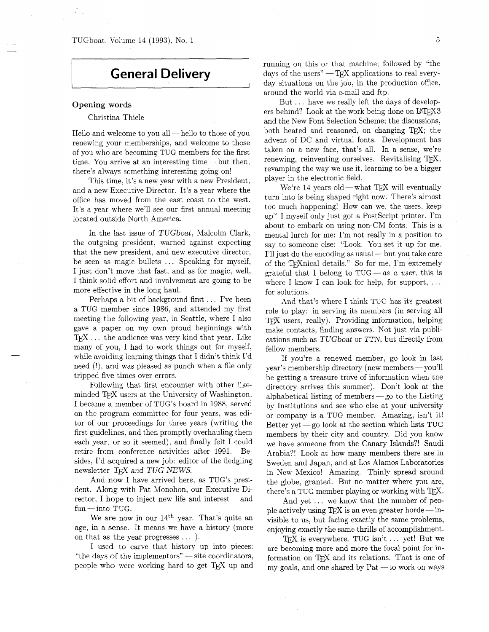## **General Delivery**

## **Opening words**

## Christina Thiele

Hello and welcome to you all-hello to those of you renewing your memberships, and welcome to those of you who are becoming TUG members for the first time. You arrive at an interesting time-but then, there's always something interesting going on!

This time, it's a new year with a new President, and a new Executive Director. It's a year where the office has moved from the east coast to the west. It's a year where we'll see our first annual meeting located outside North America.

In the last issue of TUGboat, Malcolm Clark, the outgoing president, warned against expecting that the new president, and new executive director, be seen as magic bullets ... Speaking for myself, I just don't move that fast, and as for magic, well, I think solid effort and involvement are going to be more effective in the long haul.

Perhaps a bit of background first ... I've been a TUG member since 1986, and attended my first meeting the following year, in Seattle, where I also gave a paper on my own proud beginnings with TFX ... the audience was very kind that year. Like many of you, I had to work things out for myself, while avoiding learning things that I didn't think I'd need (!), and was pleased as punch when a file only tripped five times over errors.

Following that first encounter with other likeminded TEX users at the University of Washington, I became a member of TUG's board in 1988, served on the program committee for four years, was editor of our proceedings for three years (writing the first guidelines, and then promptly overhauling them each year, or so it seemed), and finally felt I could retire from conference activities after 1991. Besides, I'd acquired a new job: editor of the fledgling newsletter *TFX* and *TUG NEWS*.

And now I have arrived here, **as** TUG's president. Along with Pat Monohon, our Executive Director, I hope to inject new life and interest  $-$  and fun - into TUG.

We are now in our  $14<sup>th</sup>$  year. That's quite an age, in a sense. It means we have a history (more on that as the year progresses  $\dots$ .

I used to carve that history up into pieces: "the days of the implementors" - site coordinators, people who were working hard to get TEX up and running on this or that machine; followed by "the days of the users"  $-TFX$  applications to real everyday situations on the job, in the production office, around the world via e-mail and ftp.

But . . . have we really left the days of developers behind? Look at the work being done on  $IATFX3$ and the New Font Selection Scheme; the discussions, both heated and reasoned, on changing  $TFX$ ; the advent of DC and virtual fonts. Development has taken on a new face, that's all. In a sense, we're renewing, reinventing ourselves. Revitalising TEX, revamping the way we use it, learning to be a bigger player in the electronic field.

We're  $14$  years old — what TFX will eventually turn into is being shaped right now. There's almost too much happening! How can we. the users. keep up? I myself only just got a Postscript printer. I'm about to embark on using non-CM fonts. This is a mental lurch for me: I'm not really in a position to say to someone else: "Look. You set it up for me. I'll just do the encoding as usual — but you take care of the TrXnical details." So for me, I'm extremely grateful that I belong to  $TUG - as$  a user, this is where I know I can look for help, for support,  $\dots$ for solutions.

And that's where I think TUG has its greatest role to play: in serving its members (in serving all TFX users, really). Providing information, helping make contacts, finding answers. Not just via publications such as TUGboat or TTN, but directly from fellow members.

If you're a renewed member, go look in last year's membership directory (new members - you'll be getting a treasure trove of information when the directory arrives this summer). Don't look at the alphabetical listing of members $-$ go to the Listing by Institutions and see who else at your university or company is a TUG member. Amazing, isn't it! Better yet  $-g$ o look at the section which lists TUG members by their city and country. Did you know we have someone from the Canary Islands?! Saudi Arabia?! Look at how many members there are in Sweden and Japan, and at Los Alamos Laboratories in New Mexico! Amazing. Thinly spread around the globe, granted. But no matter where you are, there's a TUG member playing or working with TFX.

And yet ... we know that the number of people actively using TEX is an even greater horde  $-$  invisible to us, but facing exactly the same problems, enjoying exactly the same thrills of accomplishment.

TFX is everywhere. TUG isn't  $\ldots$  yet! But we are becoming more and more the focal point for information on TEX and its relations. That is one of my goals, and one shared by  $Pat - to$  work on ways